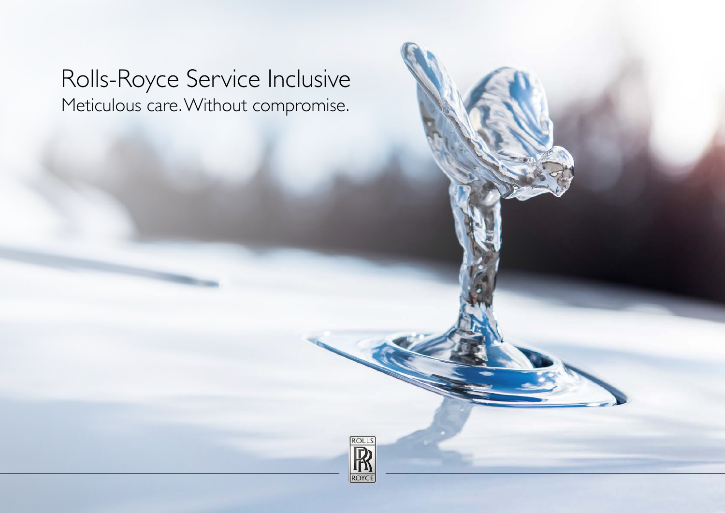# Rolls-Royce Service Inclusive Meticulous care. Without compromise.

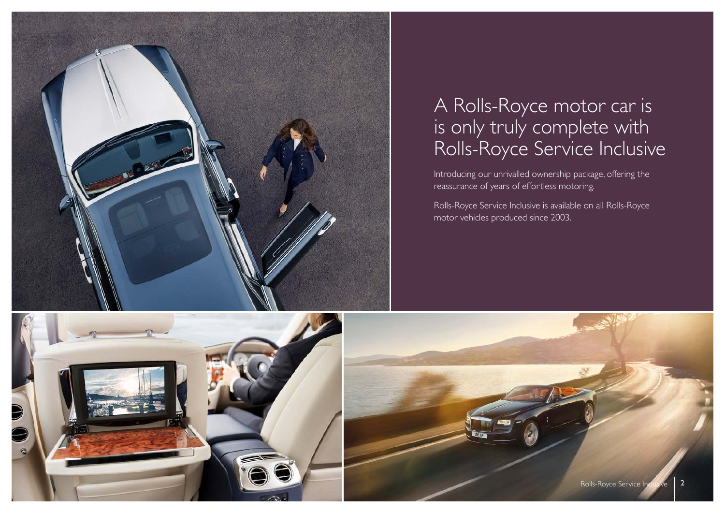

# A Rolls-Royce motor car is is only truly complete with Rolls-Royce Service Inclusive

Introducing our unrivalled ownership package, offering the reassurance of years of effortless motoring.

Rolls-Royce Service Inclusive is available on all Rolls-Royce motor vehicles produced since 2003.



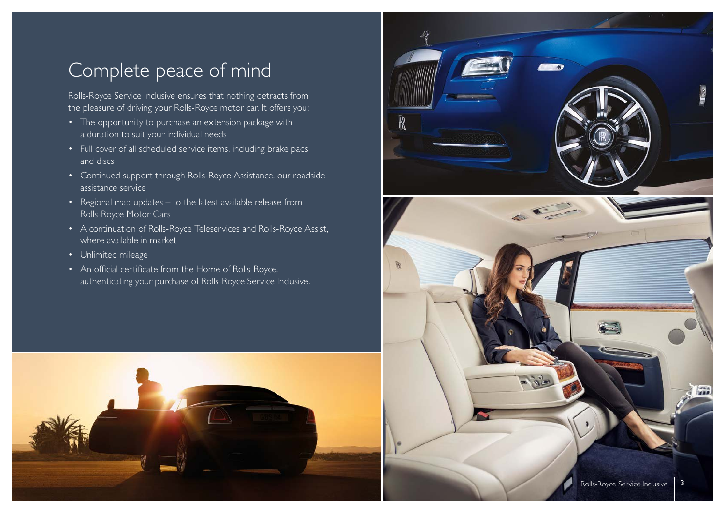# Complete peace of mind

Rolls-Royce Service Inclusive ensures that nothing detracts from the pleasure of driving your Rolls-Royce motor car. It offers you;

- The opportunity to purchase an extension package with a duration to suit your individual needs
- Full cover of all scheduled service items, including brake pads and discs
- Continued support through Rolls-Royce Assistance, our roadside assistance service
- Regional map updates to the latest available release from Rolls-Royce Motor Cars
- A continuation of [Rolls-Royce Teleservices and Rolls-Royce Assist](https://www.rolls-roycemotorcars.com/en-GB/ownership.html#enhancedownershipprogramme), where available in market
- Unlimited mileage
- An official certificate from the Home of Rolls-Royce, authenticating your purchase of Rolls-Royce Service Inclusive.



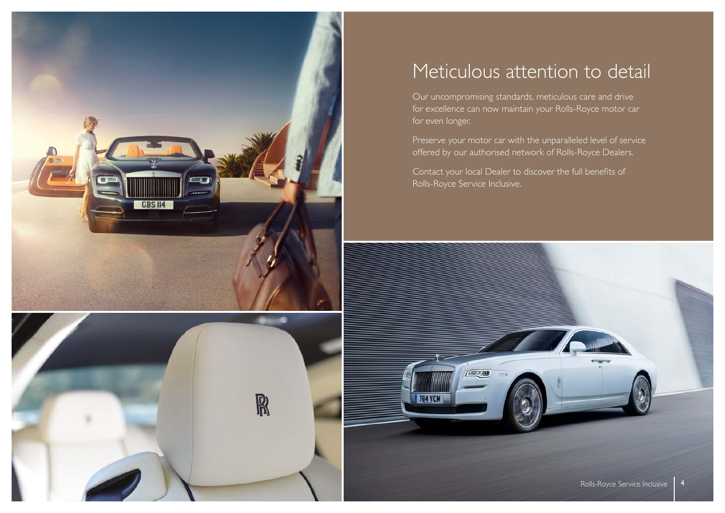



### Meticulous attention to detail

Our uncompromising standards, meticulous care and drive for excellence can now maintain your Rolls-Royce motor car for even longer.

Preserve your motor car with the unparalleled level of service offered by our authorised network of Rolls-Royce Dealers.

Contact your local Dealer to discover the full benefits of Rolls-Royce Service Inclusive.

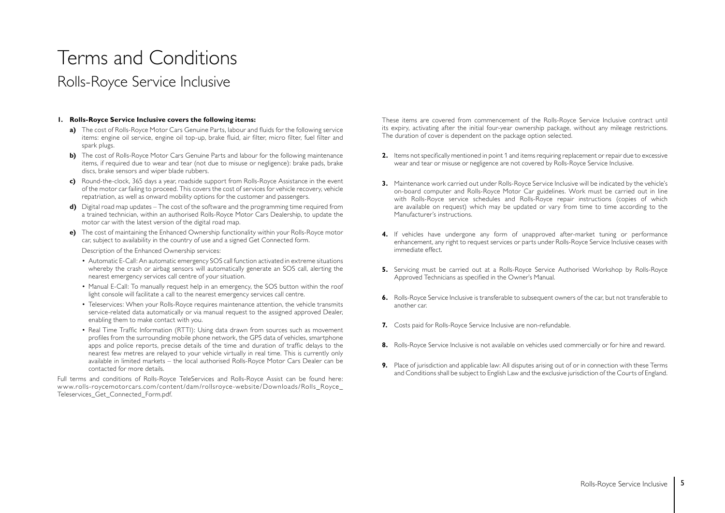# Terms and Conditions Rolls-Royce Service Inclusive

#### **1. Rolls-Royce Service Inclusive covers the following items:**

- **a)** The cost of Rolls-Royce Motor Cars Genuine Parts, labour and fluids for the following service items: engine oil service, engine oil top-up, brake fluid, air filter, micro filter, fuel filter and spark plugs.
- **b)** The cost of Rolls-Royce Motor Cars Genuine Parts and labour for the following maintenance items, if required due to wear and tear (not due to misuse or negligence): brake pads, brake discs, brake sensors and wiper blade rubbers.
- **c)** Round-the-clock, 365 days a year, roadside support from Rolls-Royce Assistance in the event of the motor car failing to proceed. This covers the cost of services for vehicle recovery, vehicle repatriation, as well as onward mobility options for the customer and passengers.
- **d)** Digital road map updates The cost of the software and the programming time required from a trained technician, within an authorised Rolls-Royce Motor Cars Dealership, to update the motor car with the latest version of the digital road map.
- **e)** The cost of maintaining the Enhanced Ownership functionality within your Rolls-Royce motor car, subject to availability in the country of use and a signed Get Connected form.

Description of the Enhanced Ownership services:

- Automatic E-Call: An automatic emergency SOS call function activated in extreme situations whereby the crash or airbag sensors will automatically generate an SOS call, alerting the nearest emergency services call centre of your situation.
- Manual E-Call: To manually request help in an emergency, the SOS button within the roof light console will facilitate a call to the nearest emergency services call centre.
- Teleservices: When your Rolls-Royce requires maintenance attention, the vehicle transmits service-related data automatically or via manual request to the assigned approved Dealer, enabling them to make contact with you.
- Real Time Traffic Information (RTTI): Using data drawn from sources such as movement profiles from the surrounding mobile phone network, the GPS data of vehicles, smartphone apps and police reports, precise details of the time and duration of traffic delays to the nearest few metres are relayed to your vehicle virtually in real time. This is currently only available in limited markets – the local authorised Rolls-Royce Motor Cars Dealer can be contacted for more details.

Full terms and conditions of Rolls-Royce TeleServices and Rolls-Royce Assist can be found here: [www.rolls-roycemotorcars.com/content/dam/rollsroyce-website/Downloads/Rolls\\_Royce\\_](https://www.rolls-roycemotorcars.com/content/dam/rollsroyce-website/Downloads/Rolls_Royce_Teleservices_Get_Connected_Form.pdf) Teleservices\_Get\_Connected\_Form.pdf.

These items are covered from commencement of the Rolls-Royce Service Inclusive contract until its expiry, activating after the initial four-year ownership package, without any mileage restrictions. The duration of cover is dependent on the package option selected.

- **2.** Items not specifically mentioned in point 1 and items requiring replacement or repair due to excessive wear and tear or misuse or negligence are not covered by Rolls-Royce Service Inclusive.
- **3.** Maintenance work carried out under Rolls-Royce Service Inclusive will be indicated by the vehicle's on-board computer and Rolls-Royce Motor Car guidelines. Work must be carried out in line with Rolls-Royce service schedules and Rolls-Royce repair instructions (copies of which are available on request) which may be updated or vary from time to time according to the Manufacturer's instructions.
- **4.** If vehicles have undergone any form of unapproved after-market tuning or performance enhancement, any right to request services or parts under Rolls-Royce Service Inclusive ceases with immediate effect.
- **5.** Servicing must be carried out at a Rolls-Royce Service Authorised Workshop by Rolls-Royce Approved Technicians as specified in the Owner's Manual.
- **6.** Rolls-Royce Service Inclusive is transferable to subsequent owners of the car, but not transferable to another car.
- **7.** Costs paid for Rolls-Royce Service Inclusive are non-refundable.
- 8. Rolls-Royce Service Inclusive is not available on vehicles used commercially or for hire and reward.
- **9.** Place of jurisdiction and applicable law: All disputes arising out of or in connection with these Terms and Conditions shall be subject to English Law and the exclusive jurisdiction of the Courts of England.